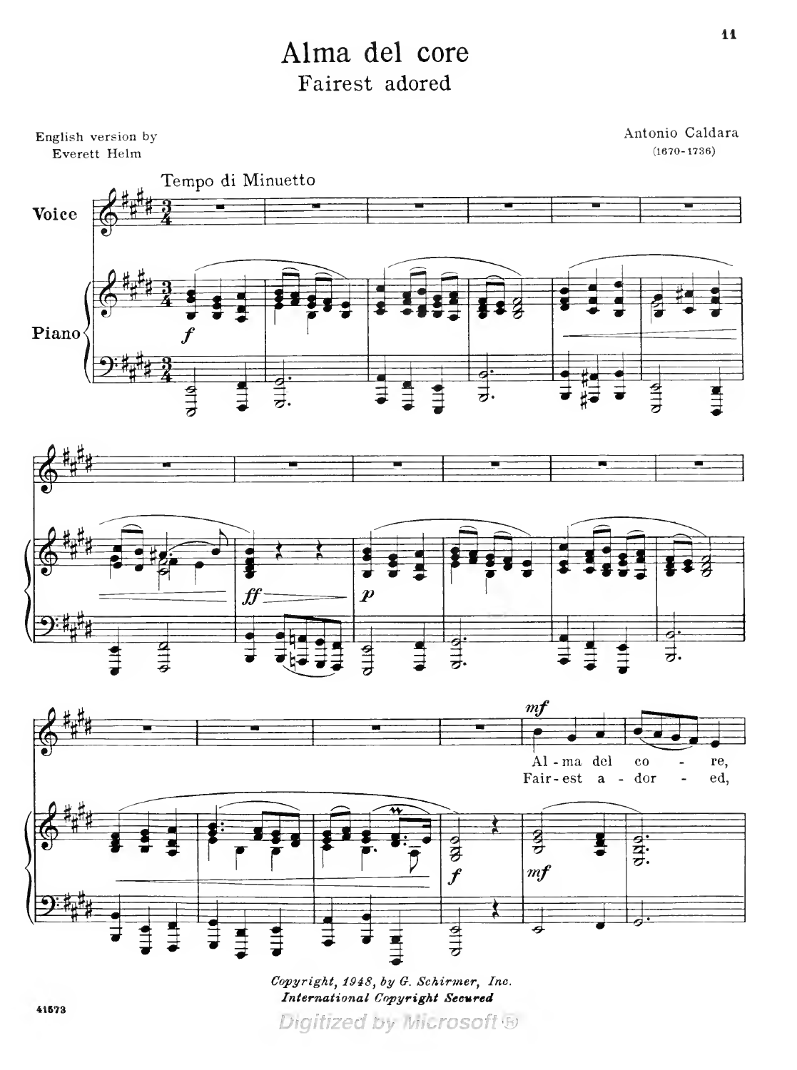## Alma del core Fairest adored



Copyright, 1948, by G. Schirmer, Inc.<br>International Copyright Secured Digitized by Microsoft B

41573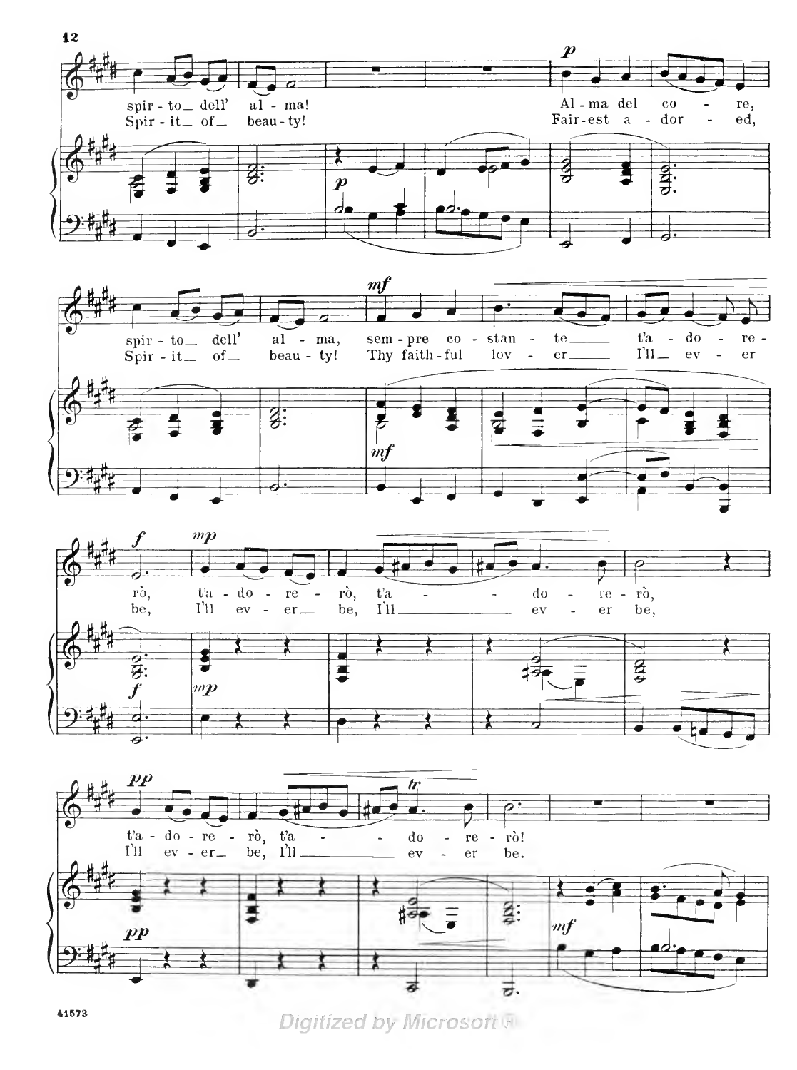







**Digitized by Microsoft FI** 

41573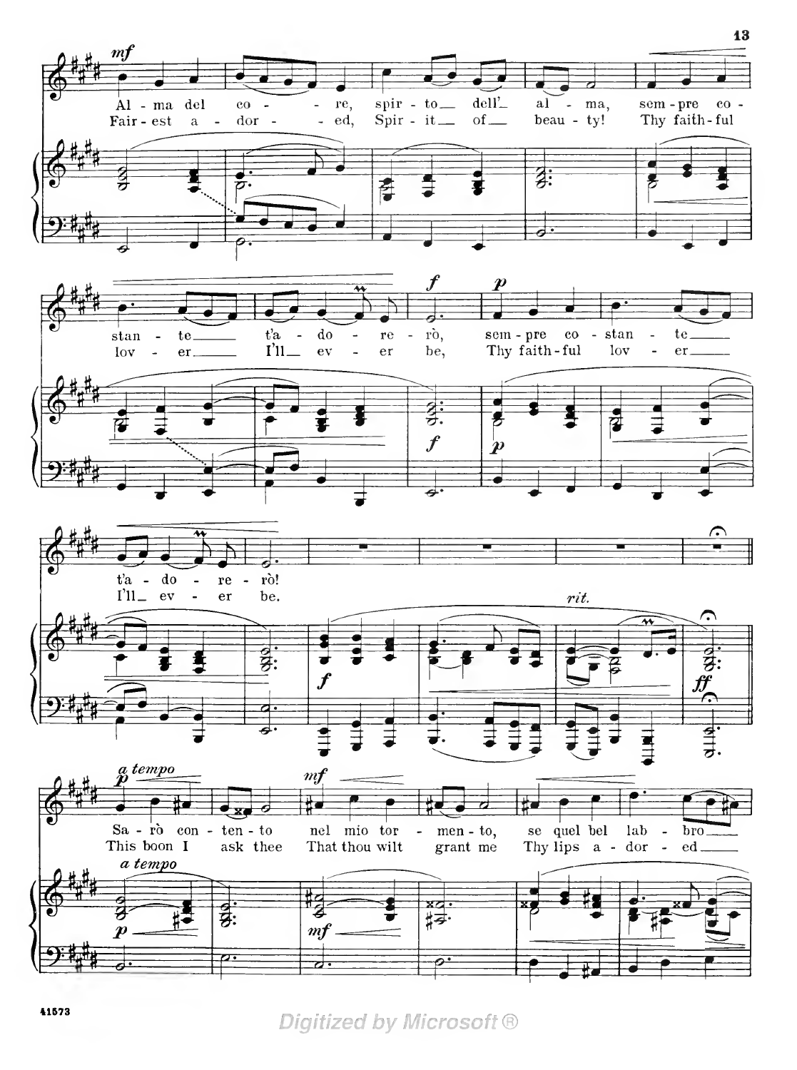

Digitized by Microsoft ®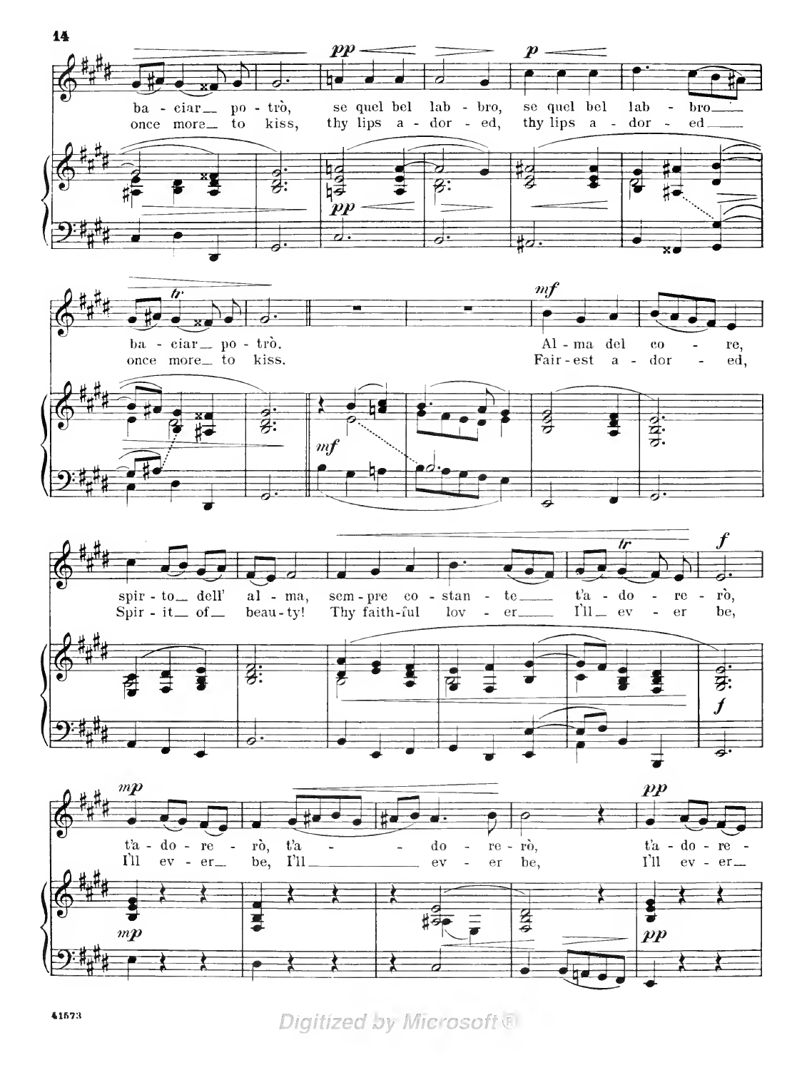

Digitized by Microsoft &